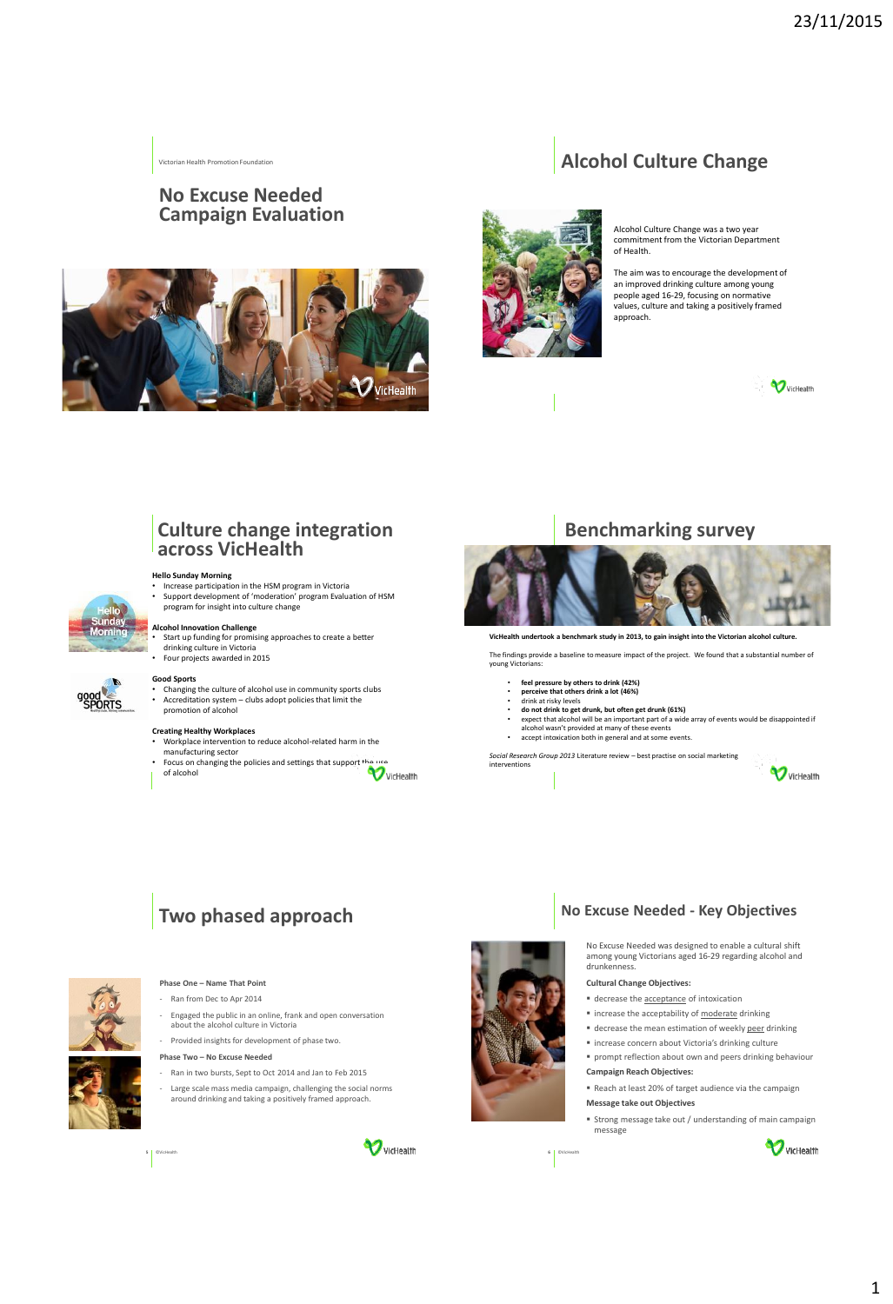Victorian Health Promotion Foundation

# **No Excuse Needed Campaign Evaluation**





Alcohol Culture Change was a two year commitment from the Victorian Department of Health.

**Alcohol Culture Change** 

The aim was to encourage the development of an improved drinking culture among young people aged 16-29, focusing on normative values, culture and taking a positively framed approach.



# Victorian Health Promotion Foundation **across VicHealth Culture change integration**

**Hello Sunday Morning**<br>• Increase participation in the HSM program in Victoria<br>• Support development of 'moderation' program Evaluation of HSM program for insight into culture change

**Alcohol Innovation Challenge** • Start up funding for promising approaches to create a better drinking culture in Victoria

• Four projects awarded in 2015



### **Good Sports**

• Changing the culture of alcohol use in community sports clubs • Accreditation system – clubs adopt policies that limit the promotion of alcohol

### **Creating Healthy Workplaces**

• Workplace intervention to reduce alcohol-related harm in the manufacturing sector

- 
- Focus on changing the policies and settings that support the use of alcohol





**VicHealth undertook a benchmark study in 2013, to gain insight into the Victorian alcohol culture.** 

The findings provide a baseline to measure impact of the project. We found that a substantial number of young Victorians:

- 
- 
- 
- feel pressure by others to drink (42%)<br>• perceive that others drink a lot (46%)<br>• do not drink to get drunk, but offen get drunk (61%)<br>• cont drink to get drunk, but offen get drunk (61%)<br>• cxpect that alcohol will be an alcohol wasn't provided at many of these events • accept intoxication both in general and at some events.
- 

*Social Research Group 2013* Literature review – best practise on social marketing interventions



# **Two phased approach**



### **Phase One – Name That Point**

- Ran from Dec to Apr 2014
- Engaged the public in an online, frank and open conversation aged the passie in an online, in
- Provided insights for development of phase two.

### **Phase Two – No Excuse Needed**

- Ran in two bursts, Sept to Oct 2014 and Jan to Feb 2015
- Large scale mass media campaign, challenging the social norms around drinking and taking a positively framed approach.







©VicHealth

**6**

**No Excuse Needed - Key Objectives** 

No Excuse Needed was designed to enable a cultural shift among young Victorians aged 16-29 regarding alcohol and drunkenness.

### **Cultural Change Objectives:**

- decrease the acceptance of intoxication
- **·** increase the acceptability of moderate drinking
- decrease the mean estimation of weekly peer drinking
- increase concern about Victoria's drinking culture
- prompt reflection about own and peers drinking behaviour

### **Campaign Reach Objectives:**

- Reach at least 20% of target audience via the campaign **Message take out Objectives**
- Strong message take out / understanding of main campaign message





1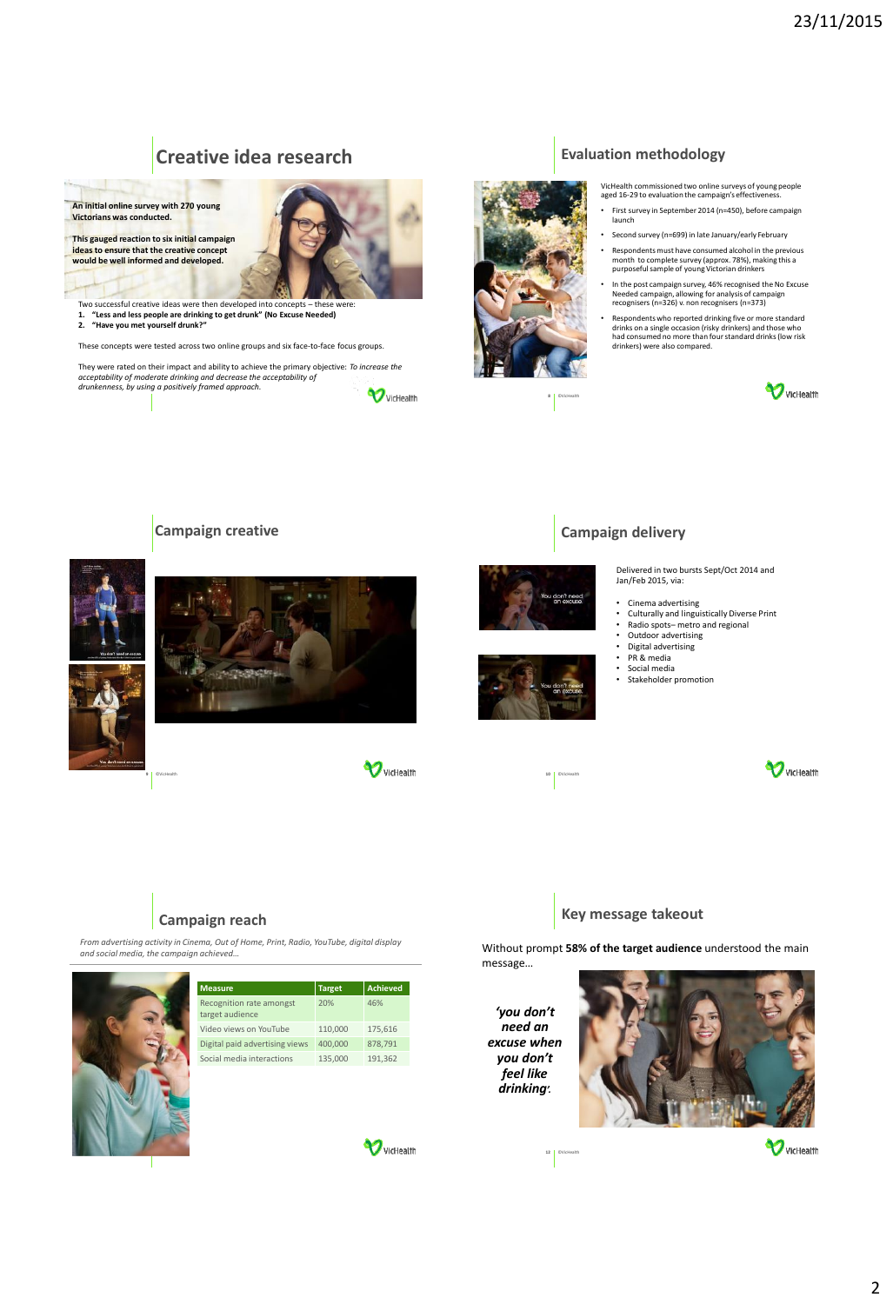# **Creative idea research**

**An initial online survey with 270 young Victorians was conducted.** 

**This gauged reaction to six initial campaign ideas to ensure that the creative concept would be well informed and developed.** 



Two successful creative ideas were then developed into concepts – these were:<br>**1. "Less and less people are drinking to get drunk" (No Excuse Needed)<br><b>2. "Have you met yourself drunk?"** 

These concepts were tested across two online groups and six face-to-face focus groups.

They were rated on their impact and ability to achieve the primary objective: *To increose the*<br>acceptability of moderate drinking and decrease the acceptability of<br>drunkenness, by using a positively framed approach.

VicHealth

### **Evaluation methodology**

VicHealth commissioned two online surveys of young people aged 16-29 to evaluation the campaign's effectiveness.

- First survey in September 2014 (n=450), before campaign launch
- Second survey (n=699) in late January/early February
- Respondents must have consumed alcohol in the previous month to complete survey (approx. 78%), making this a purposeful sample of young Victorian drinkers
- In the post campaign survey, 46% recognised the No Excuse Needed campaign, allowing for analysis of campaign recognisers (n=326) v. non recognisers (n=373)
- Respondents who reported drinking five or more standard drinks on a single occasion (risky drinkers) and those who had consumed no more than four standard drinks (low risk drinkers) were also compared.





**Campaign creative**







©VicHealth

**8**



Delivered in two bursts Sept/Oct 2014 and Jan/Feb 2015, via:

**Campaign delivery**

- Cinema advertising Culturally and linguistically Diverse Print
- Radio spots– metro and regional Outdoor advertising
- 
- Digital advertising
- PR & media • Social media
- Stakeholder promotion





# **Campaign reach**

*From advertising activity in Cinema, Out of Home, Print, Radio, YouTube, digital display and social media, the campaign achieved…*



| <b>Measure</b>                              | <b>Target</b> | <b>Achieved</b> |
|---------------------------------------------|---------------|-----------------|
| Recognition rate amongst<br>target audience | 20%           | 46%             |
| Video views on YouTube                      | 110,000       | 175,616         |
| Digital paid advertising views              | 400,000       | 878.791         |
| Social media interactions                   | 135,000       | 191.362         |

Vichealth

### **Key message takeout**

Without prompt **58% of the target audience** understood the main message…

*'you don't need an excuse when you don't feel like drinking'.*

**12** ©VicHealth